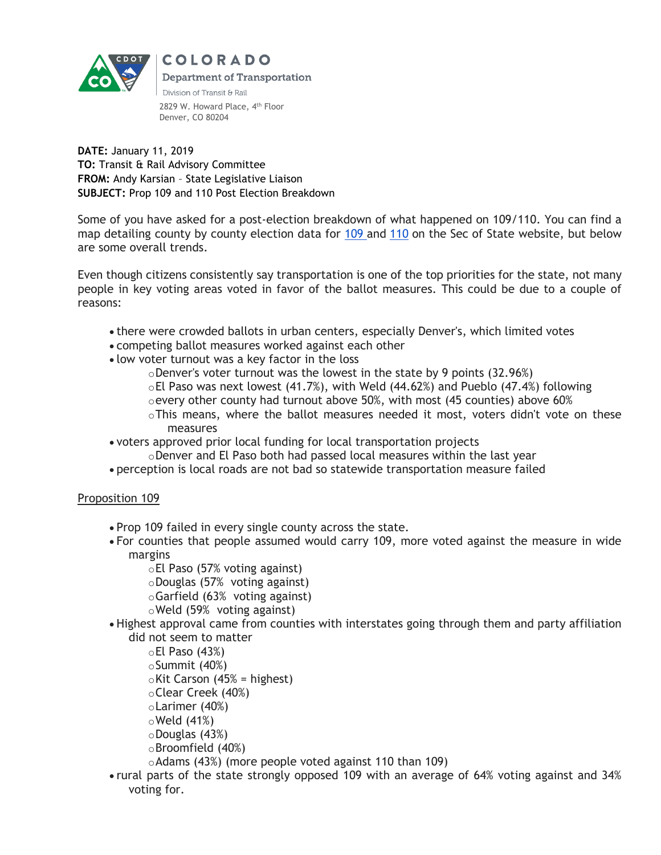

**Department of Transportation** Division of Transit & Rail 2829 W. Howard Place, 4<sup>th</sup> Floor

COLORADO

**DATE:** January 11, 2019 **TO:** Transit & Rail Advisory Committee **FROM:** Andy Karsian – State Legislative Liaison **SUBJECT:** Prop 109 and 110 Post Election Breakdown

Denver, CO 80204

Some of you have asked for a post-election breakdown of what happened on 109/110. You can find a map detailing county by county election data for [109](https://results.enr.clarityelections.com/CO/91808/Web02-state.220747/#/cid/4470) and [110](https://results.enr.clarityelections.com/CO/91808/Web02-state.220747/#/cid/4480) on the Sec of State website, but below are some overall trends.

Even though citizens consistently say transportation is one of the top priorities for the state, not many people in key voting areas voted in favor of the ballot measures. This could be due to a couple of reasons:

- there were crowded ballots in urban centers, especially Denver's, which limited votes
- competing ballot measures worked against each other
- low voter turnout was a key factor in the loss
	- $\circ$ Denver's voter turnout was the lowest in the state by 9 points (32.96%)
	- $\circ$ El Paso was next lowest (41.7%), with Weld (44.62%) and Pueblo (47.4%) following
	- $\circ$  every other county had turnout above 50%, with most (45 counties) above 60%
	- $\circ$ This means, where the ballot measures needed it most, voters didn't vote on these measures
- voters approved prior local funding for local transportation projects
	- $\circ$ Denver and El Paso both had passed local measures within the last year
- perception is local roads are not bad so statewide transportation measure failed

## Proposition 109

- Prop 109 failed in every single county across the state.
- For counties that people assumed would carry 109, more voted against the measure in wide margins
	- oEl Paso (57% voting against) oDouglas (57% voting against) oGarfield (63% voting against) oWeld (59% voting against)
- Highest approval came from counties with interstates going through them and party affiliation did not seem to matter

 $\circ$ El Paso (43%) oSummit (40%)  $\circ$ Kit Carson (45% = highest) oClear Creek (40%) oLarimer (40%)  $\circ$  Weld (41%) oDouglas (43%) oBroomfield (40%) oAdams (43%) (more people voted against 110 than 109)

 rural parts of the state strongly opposed 109 with an average of 64% voting against and 34% voting for.